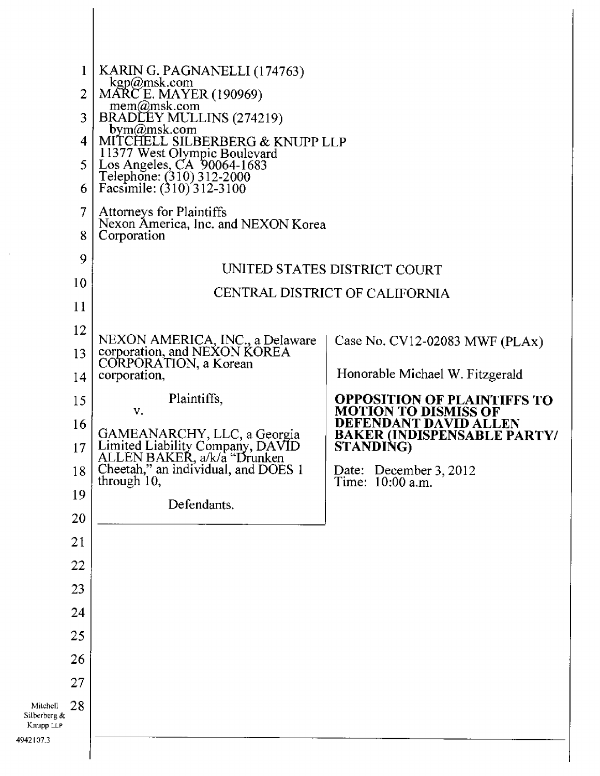| $\bf{l}$<br>$\overline{2}$<br>3<br>4<br>5.<br>6<br>7<br>8                                  | KARIN G. PAGNANELLI (174763)<br>kgp@msk.com<br>MARC E. MAYER (190969)<br>mem@msk.com<br>BRADLEY MULLINS (274219)<br>bym $\omega$ msk.com<br>MITCHELL SILBERBERG & KNUPP LLP<br>11377 West Olympic Boulevard<br>Los Angeles, CA 90064-1683<br>Telephone: (310) 312-2000<br>Facsimile: (310) 312-3100<br>Attorneys for Plaintiffs<br>Nexon America, Inc. and NEXON Korea |                                                                                                                                                                                                                                                                         |  |
|--------------------------------------------------------------------------------------------|------------------------------------------------------------------------------------------------------------------------------------------------------------------------------------------------------------------------------------------------------------------------------------------------------------------------------------------------------------------------|-------------------------------------------------------------------------------------------------------------------------------------------------------------------------------------------------------------------------------------------------------------------------|--|
| 9<br>10<br>11                                                                              | Corporation<br>UNITED STATES DISTRICT COURT<br>CENTRAL DISTRICT OF CALIFORNIA                                                                                                                                                                                                                                                                                          |                                                                                                                                                                                                                                                                         |  |
| 12<br>13<br>14<br>15<br>16<br>17<br>18<br>19<br>20<br>21                                   | NEXON AMERICA, INC., a Delaware<br>corporation, and NEXON KOREA<br>CORPORATION, a Korean<br>corporation,<br>Plaintiffs,<br>V.<br>GAMEANARCHY, LLC, a Georgia<br>Limited Liability Company, DAVID<br>ALLEN BAKER, a/k/a "Drunken<br>Cheetah," an individual, and DOES 1<br>through 10,<br>Defendants.                                                                   | Case No. CV12-02083 MWF (PLAx)<br>Honorable Michael W. Fitzgerald<br><b>OPPOSITION OF PLAINTIFFS TO</b><br><b>MOTION TO DISMISS OF</b><br><b>DEFENDANT DAVID ALLEN</b><br><b>BAKER (INDISPENSABLE PARTY/</b><br>STANDING)<br>Date: December 3, 2012<br>Time: 10:00 a.m. |  |
| 22<br>23<br>24<br>25<br>26<br>27<br>28<br>Mitchell<br>Silberberg &<br>Knupp LLP<br>42107.3 |                                                                                                                                                                                                                                                                                                                                                                        |                                                                                                                                                                                                                                                                         |  |

4942107.3

 $\overline{\phantom{a}}$ 

 $\hat{\mathcal{A}}$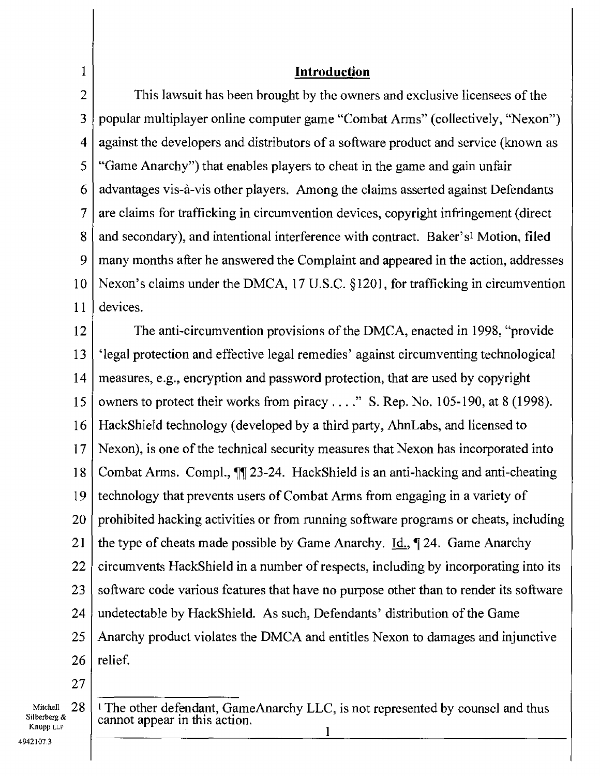| $\mathbf 1$         | <b>Introduction</b>                                                                            |  |  |  |
|---------------------|------------------------------------------------------------------------------------------------|--|--|--|
| $\overline{2}$      | This lawsuit has been brought by the owners and exclusive licensees of the                     |  |  |  |
| 3                   | popular multiplayer online computer game "Combat Arms" (collectively, "Nexon")                 |  |  |  |
| $\overline{\bf{4}}$ | against the developers and distributors of a software product and service (known as            |  |  |  |
| 5                   | "Game Anarchy") that enables players to cheat in the game and gain unfair                      |  |  |  |
| 6                   | advantages vis-à-vis other players. Among the claims asserted against Defendants               |  |  |  |
| 7                   | are claims for trafficking in circumvention devices, copyright infringement (direct            |  |  |  |
| 8                   | and secondary), and intentional interference with contract. Baker's <sup>1</sup> Motion, filed |  |  |  |
| 9                   | many months after he answered the Complaint and appeared in the action, addresses              |  |  |  |
| 10                  | Nexon's claims under the DMCA, 17 U.S.C. $\S$ 1201, for trafficking in circumvention           |  |  |  |
| 11                  | devices.                                                                                       |  |  |  |
| 12                  | The anti-circumvention provisions of the DMCA, enacted in 1998, "provide                       |  |  |  |
| 13                  | 'legal protection and effective legal remedies' against circumventing technological            |  |  |  |
| 14                  | measures, e.g., encryption and password protection, that are used by copyright                 |  |  |  |
| 15                  | owners to protect their works from piracy" S. Rep. No. 105-190, at 8 (1998).                   |  |  |  |
| 16                  | HackShield technology (developed by a third party, AhnLabs, and licensed to                    |  |  |  |
| 17                  | Nexon), is one of the technical security measures that Nexon has incorporated into             |  |  |  |
| 18                  | Combat Arms. Compl., 11 23-24. HackShield is an anti-hacking and anti-cheating                 |  |  |  |
| 19                  | technology that prevents users of Combat Arms from engaging in a variety of                    |  |  |  |
| 20                  | prohibited hacking activities or from running software programs or cheats, including           |  |  |  |
| 21                  | the type of cheats made possible by Game Anarchy. $\underline{Id}$ , $\P$ 24. Game Anarchy     |  |  |  |
| 22                  | circumvents HackShield in a number of respects, including by incorporating into its            |  |  |  |
| 23                  | software code various features that have no purpose other than to render its software          |  |  |  |
| 24                  | undetectable by HackShield. As such, Defendants' distribution of the Game                      |  |  |  |
| 25                  | Anarchy product violates the DMCA and entitles Nexon to damages and injunctive                 |  |  |  |
| 26                  | relief.                                                                                        |  |  |  |
| 27                  |                                                                                                |  |  |  |

Mitchell 28 Silberberg & Knopp LLP

<sup>1</sup>The other defendant, GameAnarchy LLC, is not represented by counsel and thus cannot appear in this action. 1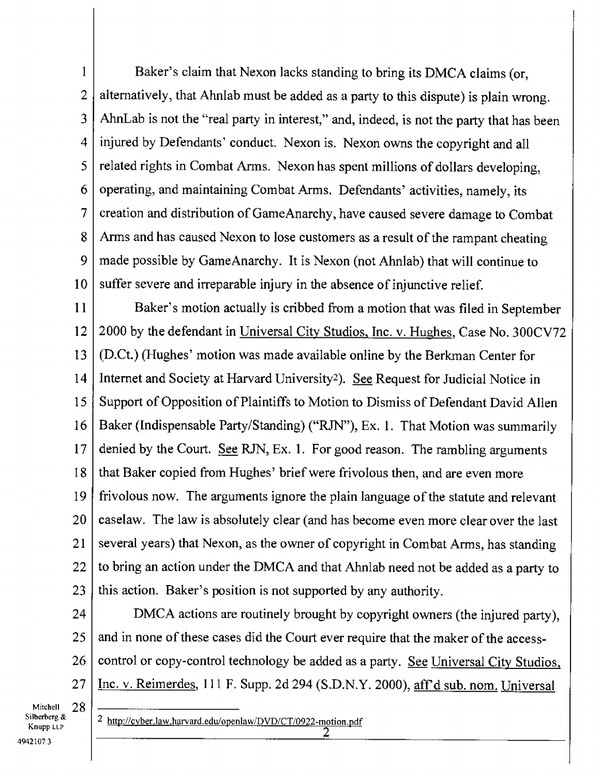1 2 3 4 5 6 7 8 9 10 Baker's claim that Nexon lacks standing to bring its DMCA claims (or, alternatively, that Ahnlab must be added as a party to this dispute) is plain wrong. AhnLab is not the "real party in interest," and, indeed, is not the party that has been injured by Defendants' conduct. Nexon is. Nexon owns the copyright and all related rights in Combat Arms. Nexon has spent millions of dollars developing, operating, and maintaining Combat Arms. Defendants' activities, namely, its creation and distribution of GameAnarchy, have caused severe damage to Combat Arms and has caused Nexon to lose customers as a result of the rampant cheating made possible by GameAnarchy. It is Nexon (not Ahnlab) that will continue to suffer severe and irreparable injury in the absence of injunctive relief.

11 12 13 14 15 16 17 18 19 20 21 22 23 Baker's motion actually is cribbed from a motion that was filed in September 2000 by the defendant in Universal City Studios, Inc. v. Hughes, Case No. 300CV72 (D.Ct.) (Hughes' motion was made available online by the Berkman Center for Internet and Society at Harvard University<sup>2</sup>). See Request for Judicial Notice in Support of Opposition of Plaintiffs to Motion to Dismiss of Defendant David Allen Baker (Indispensable Party/Standing) ("RJN"), Ex. 1. That Motion was summarily denied by the Court. See RJN, Ex. 1. For good reason. The rambling arguments that Baker copied from Hughes' brief were frivolous then, and are even more frivolous now. The arguments ignore the plain language of the statute and relevant caselaw. The law is absolutely clear (and has become even more clear over the last several years) that Nexon, as the owner of copyright in Combat Arms, has standing to bring an action under the DMCA and that Ahnlab need not be added as a party to this action. Baker's position is not supported by any authority.

24 25 26 27 DMCA actions are routinely brought by copyright owners (the injured party), and in none of these cases did the Court ever require that the maker of the accesscontrol or copy-control technology be added as a party. See Universal City Studios, Inc. v. Reimerdes, 111 F. Supp. 2d 294 (S.D.N.Y. 2000), aff'd sub. nom. Universal

Mitchell 28 Silberberg & Knupp LLP

2 http://cyber.law.harvard.edu/openlaw/DVD/CT/0922-motion.pdf 2

4942107.3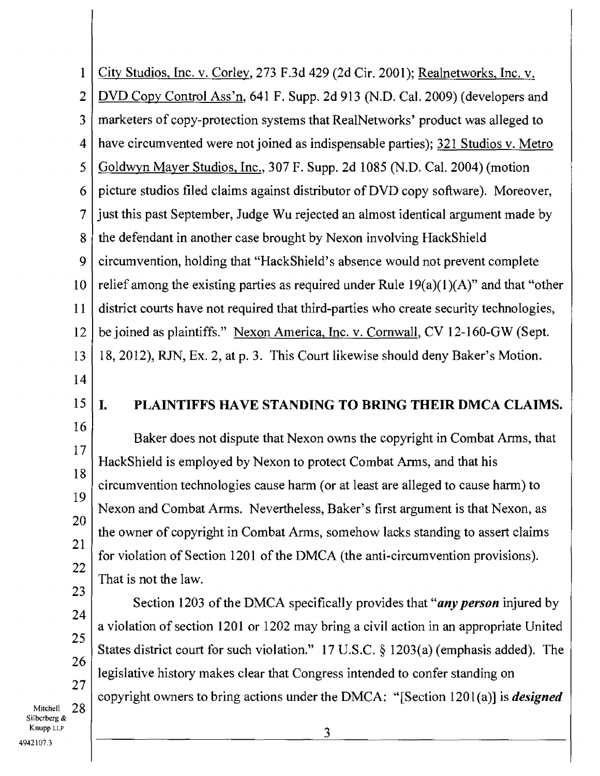City Studios, Inc. v. Corley, 273 F.3d 429 (2d Cir. 2001); Realnetworks, Inc. v. DVD Copy Control Ass'n, 641 F. Supp. 2d 913 (N.D. Cal. 2009) (developers and marketers of copy-protection systems that RealNetworks' product was alleged to have circumvented were not joined as indispensable parties); 321 Studios v. Metro Goldwyn Mayer Studios, Inc., 307 F. Supp. 2d 1085 (N.D. Cal. 2004) (motion picture studios filed claims against distributor of DVD copy software). Moreover, just this past September, Judge Wu rejected an almost identical argument made by the defendant in another case brought by Nexon involving HackShield circumvention, holding that "HackShield's absence would not prevent complete relief among the existing parties as required under Rule  $19(a)(1)(A)$ " and that "other district courts have not required that third-parties who create security technologies, be joined as plaintiffs." Nexon America, Inc. v. Cornwall, CV 12-160-GW (Sept. 18, 2012), RJN, Ex. 2, at p. 3. This Court likewise should deny Baker's Motion. **I. PLAINTIFFS HAVE STANDING TO BRING THEIR DMCA CLAIMS.**  Baker does not dispute that Nexon owns the copyright in Combat Arms, that HackShield is employed by Nexon to protect Combat Arms, and that his circumvention technologies cause harm (or at least are alleged to cause harm) to Nexon and Combat Arms. Nevertheless, Baker's first argument is that Nexon, as the owner of copyright in Combat Arms, somehow lacks standing to assert claims for violation of Section 1201 of the DMCA (the anti-circumvention provisions). That is not the law. Section 1203 of the DMCA specifically provides that *"any person* injured by a violation of section 1201 or 1202 may bring a civil action in an appropriate United States district court for such violation." 17 U.S.C. § 1203(a) (emphasis added). The legislative history makes clear that Congress intended to confer standing on copyright owners to bring actions under the DMCA: "[Section 1201(a)] is *designed*  1 2 3 4 5 6 7 8 9 10 11 12 13 14 15 16 17 18 19 20 21 22 23 24 25 26 27

Mitchell 28 SiIbcrberg & Knupp LLP 4942107.3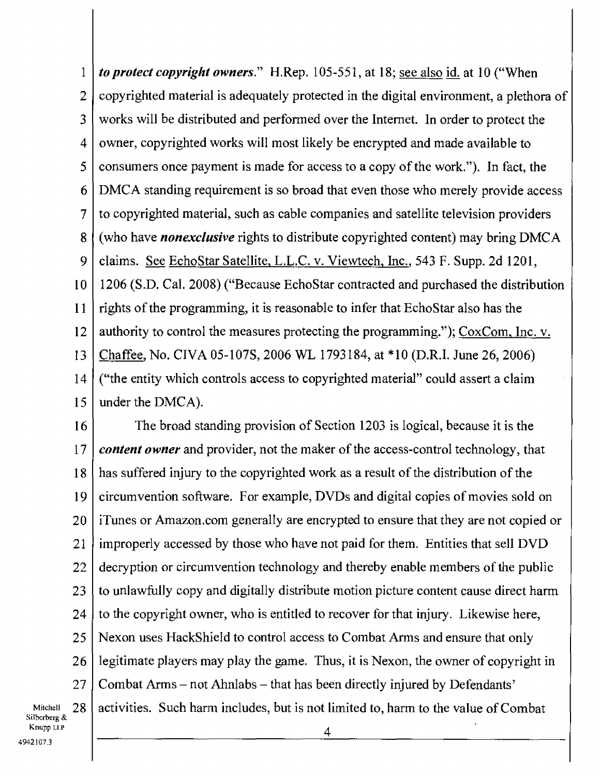1 2 3 4 5 6 7 8 9 10 11 12 13 14 15 *to protect copyright owners."* H.Rep. 105-551, at 18; see also id. at 10 ("When copyrighted material is adequately protected in the digital environment, a plethora of works will be distributed and performed over the Internet. In order to protect the owner, copyrighted works will most likely be encrypted and made available to consumers once payment is made for access to a copy of the work."). In fact, the DMCA standing requirement is so broad that even those who merely provide access to copyrighted material, such as cable companies and satellite television providers (who have *nonexclusive* rights to distribute copyrighted content) may bring DMCA claims. See EchoStar Satellite, L.L.C. v. Viewtech, Inc., 543 F. Supp. 2d 1201, 1206 (S.D. Cal. 2008) ("Because EchoStar contracted and purchased the distribution rights of the programming, it is reasonable to infer that EchoStar also has the authority to control the measures protecting the programming."); CoxCom. Inc. v. Chaffee, No. CIVA 05-107S, 2006 WL 1793184, at \*10 (D.R.I. June 26, 2006) ("the entity which controls access to copyrighted material" could assert a claim under the DMCA).

16 17 18 19 20 21 22 23 24 25 26 27 The broad standing provision of Section 1203 is logical, because it is the *content owner* and provider, not the maker of the access-control technology, that has suffered injury to the copyrighted work as a result of the distribution of the circumvention software. For example, DVDs and digital copies of movies sold on iTunes or Amazon.comgenerally are encrypted to ensure that they are not copied or improperly accessed by those who have not paid for them. Entities that sell DVD decryption or circumvention technology and thereby enable members of the public to unlawfully copy and digitally distribute motion picture content cause direct harm to the copyright owner, who is entitled to recover for that injury. Likewise here, Nexon uses HackShield to control access to Combat Arms and ensure that only legitimate players may play the game. Thus, it is Nexon, the owner of copyright in Combat Arms — not Ahnlabs — that has been directly injured by Defendants' activities. Such harm includes, but is not limited to, harm to the value of Combat

Mitchell 28<br>Silberberg & Knupp Lt.P 4942107.3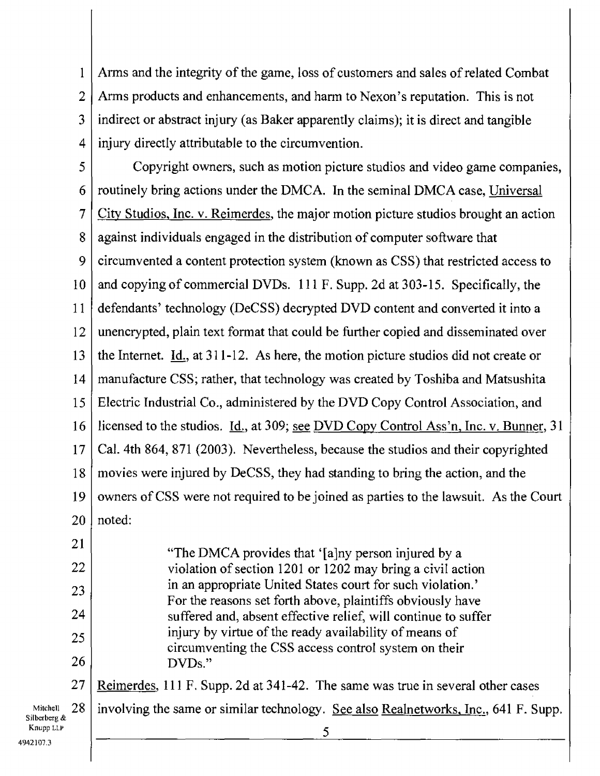1 2 3 4 Arms and the integrity of the game, loss of customers and sales of related Combat Arms products and enhancements, and harm to Nexon's reputation. This is not indirect or abstract injury (as Baker apparently claims); it is direct and tangible injury directly attributable to the circumvention.

5 6 7 8 9 10 11 12 13 14 15 16 17 18 19 20 21 22 23 24 25 26 27 Mitchell  $28$ Copyright owners, such as motion picture studios and video game companies, routinely bring actions under the DMCA. In the seminal DMCA case, Universal City Studios, Inc. v. Reimerdes, the major motion picture studios brought an action against individuals engaged in the distribution of computer software that circumvented a content protection system (known as CSS) that restricted access to and copying of commercial DVDs. 111 F. Supp. 2d at 303-15. Specifically, the defendants' technology (DeCSS) decrypted DVD content and converted it into a unencrypted, plain text format that could be further copied and disseminated over the Internet. Id., at 311-12. As here, the motion picture studios did not create or manufacture CSS; rather, that technology was created by Toshiba and Matsushita Electric Industrial Co., administered by the DVD Copy Control Association, and licensed to the studios. <u>Id.</u>, at 309; <u>see DVD Copy Control Ass'n, Inc. v. Bunner</u>, 31 Cal. 4th 864, 871 (2003). Nevertheless, because the studios and their copyrighted movies were injured by DeCSS, they had standing to bring the action, and the owners of CSS were not required to be joined as parties to the lawsuit. As the Court noted: "The DMCA provides that '[a]ny person injured by a violation of section 1201 or 1202 may bring a civil action in an appropriate United States court for such violation.' For the reasons set forth above, plaintiffs obviously have suffered and, absent effective relief, will continue to suffer injury by virtue of the ready availability of means of circumventing the CSS access control system on their DVDs." Reimerdes, 111 F. Supp. 2d at 341-42. The same was true in several other cases involving the same or similar technology. See also Realnetworks, Inc., 641 F. Supp. 5

silberberg& Knupp LLP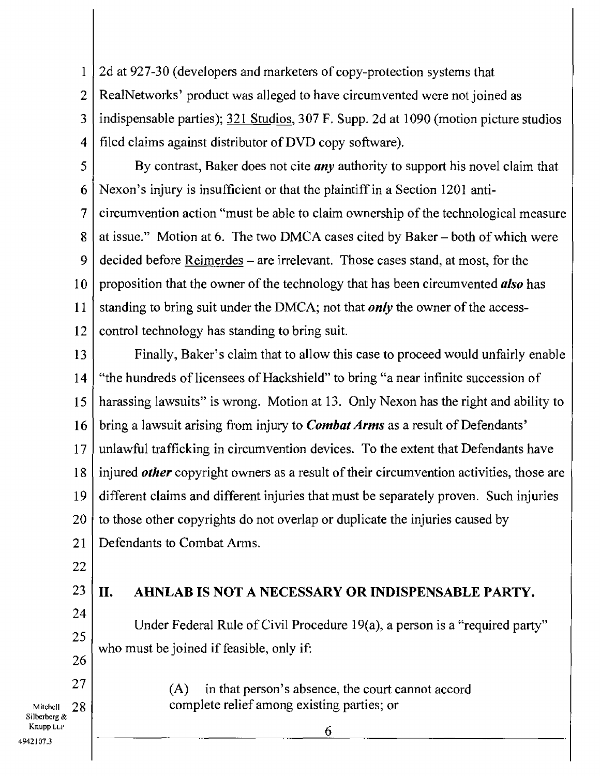1 2 3 4 2d at 927-30 (developers and marketers of copy-protection systems that RealNetworks' product was alleged to have circumvented were not joined as indispensable parties); 321 Studios, 307 F. Supp. 2d at 1090 (motion picture studios filed claims against distributor of DVD copy software).

5

6 7 8 9 10 11 12 By contrast, Baker does not cite *any* authority to support his novel claim that Nexon's injury is insufficient or that the plaintiff in a Section 1201 anticircumvention action "must be able to claim ownership of the technological measure at issue." Motion at 6. The two DMCA cases cited by Baker — both of which were decided before Reimerdes — are irrelevant. Those cases stand, at most, for the proposition that the owner of the technology that has been circumvented *also* has standing to bring suit under the DMCA; not that *only* the owner of the accesscontrol technology has standing to bring suit.

13 14 15 16 17 18 19 20 21 Finally, Baker's claim that to allow this case to proceed would unfairly enable "the hundreds of licensees of Hackshield" to bring "a near infinite succession of harassing lawsuits" is wrong. Motion at 13. Only Nexon has the right and ability to bring a lawsuit arising from injury to *Combat Arms* as a result of Defendants' unlawful trafficking in circumvention devices. To the extent that Defendants have injured *other* copyright owners as a result of their circumvention activities, those are different claims and different injuries that must be separately proven. Such injuries to those other copyrights do not overlap or duplicate the injuries caused by Defendants to Combat Arms.

- 22
- 23

24

25

26

27

## **II. AHNLAB IS NOT A NECESSARY OR INDISPENSABLE PARTY.**

Under Federal Rule of Civil Procedure 19(a), a person is a "required party" who must be joined if feasible, only if:

(A) in that person's absence, the court cannot accord

complete relief among existing parties; or

Mitchell 28<br>Silberberg & Knupp LLP 4942107.3

6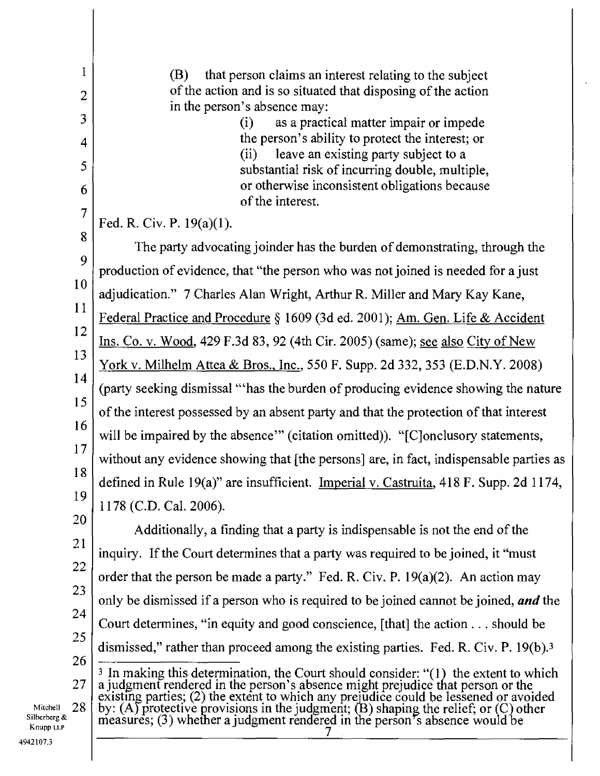| 1                         | (B)<br>that person claims an interest relating to the subject                                                                                                                                                                        |  |  |  |
|---------------------------|--------------------------------------------------------------------------------------------------------------------------------------------------------------------------------------------------------------------------------------|--|--|--|
| $\overline{2}$            | of the action and is so situated that disposing of the action<br>in the person's absence may:                                                                                                                                        |  |  |  |
| 3                         | as a practical matter impair or impede<br>(i)                                                                                                                                                                                        |  |  |  |
| $\overline{4}$            | the person's ability to protect the interest; or<br>(ii) leave an existing party subject to a                                                                                                                                        |  |  |  |
| 5                         | substantial risk of incurring double, multiple,                                                                                                                                                                                      |  |  |  |
| 6                         | or otherwise inconsistent obligations because<br>of the interest.                                                                                                                                                                    |  |  |  |
| $\overline{7}$            | Fed. R. Civ. P. $19(a)(1)$ .                                                                                                                                                                                                         |  |  |  |
| 8                         | The party advocating joinder has the burden of demonstrating, through the                                                                                                                                                            |  |  |  |
| 9                         | production of evidence, that "the person who was not joined is needed for a just                                                                                                                                                     |  |  |  |
| 10                        | adjudication." 7 Charles Alan Wright, Arthur R. Miller and Mary Kay Kane,                                                                                                                                                            |  |  |  |
| 11                        | Federal Practice and Procedure § 1609 (3d ed. 2001); Am. Gen. Life & Accident                                                                                                                                                        |  |  |  |
| 12                        | Ins. Co. v. Wood, 429 F.3d 83, 92 (4th Cir. 2005) (same); see also City of New                                                                                                                                                       |  |  |  |
| 13                        | <u>York v. Milhelm Attea &amp; Bros., Inc.</u> , 550 F. Supp. 2d 332, 353 (E.D.N.Y. 2008)                                                                                                                                            |  |  |  |
| 14                        | (party seeking dismissal "'has the burden of producing evidence showing the nature                                                                                                                                                   |  |  |  |
| 15                        | of the interest possessed by an absent party and that the protection of that interest<br>will be impaired by the absence" (citation omitted)). "[C]onclusory statements,                                                             |  |  |  |
| 16                        |                                                                                                                                                                                                                                      |  |  |  |
| 18                        | 17<br>without any evidence showing that [the persons] are, in fact, indispensable parties as                                                                                                                                         |  |  |  |
| 19                        | defined in Rule 19(a)" are insufficient. Imperial v. Castruita, 418 F. Supp. 2d 1174,                                                                                                                                                |  |  |  |
| 20                        | 1178 (C.D. Cal. 2006).                                                                                                                                                                                                               |  |  |  |
| 21                        | Additionally, a finding that a party is indispensable is not the end of the                                                                                                                                                          |  |  |  |
| 22                        | inquiry. If the Court determines that a party was required to be joined, it "must"                                                                                                                                                   |  |  |  |
| 23                        | order that the person be made a party." Fed. R. Civ. P. $19(a)(2)$ . An action may                                                                                                                                                   |  |  |  |
| 24                        | only be dismissed if a person who is required to be joined cannot be joined, and the                                                                                                                                                 |  |  |  |
| 25                        | Court determines, "in equity and good conscience, [that] the action should be                                                                                                                                                        |  |  |  |
| 26                        | dismissed," rather than proceed among the existing parties. Fed. R. Civ. P. 19(b). <sup>3</sup>                                                                                                                                      |  |  |  |
| 27                        | <sup>3</sup> In making this determination, the Court should consider: "(1) the extent to which                                                                                                                                       |  |  |  |
| 28<br>Mitchell            | a judgment rendered in the person's absence might prejudice that person or the<br>existing parties; (2) the extent to which any prejudice could be lessened or avoided<br>by: (A) protective provisions in the judgment; (B) shaping |  |  |  |
| Silberberg &<br>Knupp LLP |                                                                                                                                                                                                                                      |  |  |  |
| 42107.3                   |                                                                                                                                                                                                                                      |  |  |  |
|                           |                                                                                                                                                                                                                                      |  |  |  |

 $\hat{\mathcal{A}}$ 

Knupp LLP 4942107.3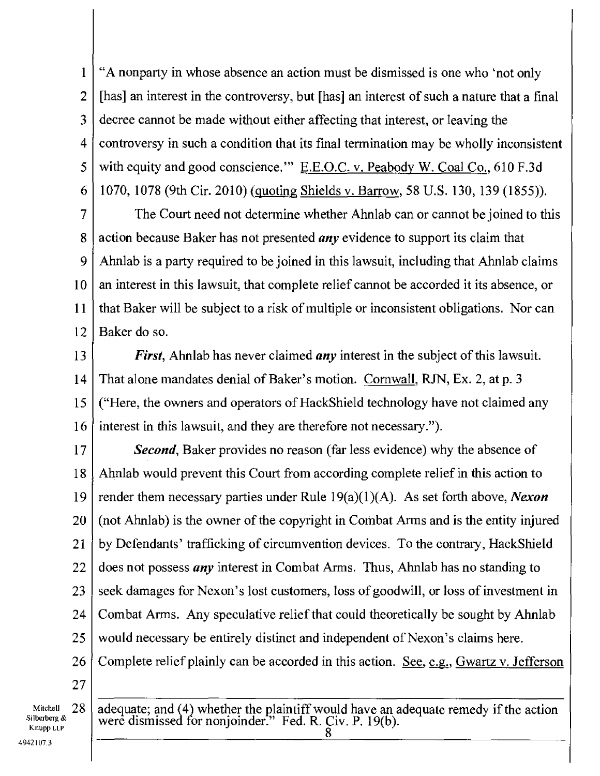"A nonparty in whose absence an action must be dismissed is one who 'not only [has] an interest in the controversy, but [has] an interest of such a nature that a final decree cannot be made without either affecting that interest, or leaving the controversy in such a condition that its final termination may be wholly inconsistent with equity and good conscience." E.E.O.C. v. Peabody W. Coal Co., 610 F.3d 1070, 1078 (9th Cir. 2010) (quoting Shields v. Barrow, 58 U.S. 130, 139 (1855)). 1 2 3 4 5 6

The Court need not determine whether Ahnlab can or cannot be joined to this action because Baker has not presented *any* evidence to support its claim that Ahnlab is a party required to be joined in this lawsuit, including that Ahnlab claims an interest in this lawsuit, that complete relief cannot be accorded it its absence, or that Baker will be subject to a risk of multiple or inconsistent obligations. Nor can Baker do so. 7 8 9 10 11 12

*First,* Ahnlab has never claimed *any* interest in the subject of this lawsuit. That alone mandates denial of Baker's motion. Cornwall, RJN, Ex. 2, at p. 3 ("Here, the owners and operators of HackShield technology have not claimed any interest in this lawsuit, and they are therefore not necessary."). 13 14 15 16

*Second*, Baker provides no reason (far less evidence) why the absence of Ahnlab would prevent this Court from according complete relief in this action to render them necessary parties under Rule 19(a)(1)(A). As set forth above, *Nexon*  (not Ahnlab) is the owner of the copyright in Combat Arms and is the entity injured by Defendants' trafficking of circumvention devices. To the contrary, HackShield does not possess *any* interest in Combat Arms. Thus, Ahnlab has no standing to seek damages for Nexon's lost customers, loss of goodwill, or loss of investment in Combat Arms. Any speculative relief that could theoretically be sought by Ahnlab would necessary be entirely distinct and independent of Nexon's claims here. Complete relief plainly can be accorded in this action. See, e.g., Gwartz v. Jefferson 17 18 19 20 21 22 23 24 25 26 27

Mitchell 28 Silberberg & Knupp LIP 4942107.3

adequate; and (4) whether the plaintiff would have an adequate remedy if the action were dismissed for nonjoinder." Fed. R. Civ. P. 19(b). 8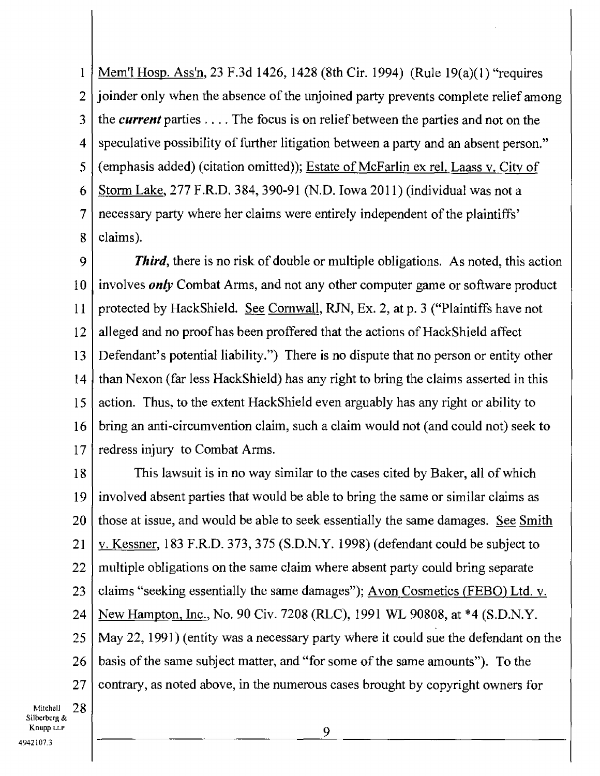Mem'l Hosp. Ass'n, 23 F.3d 1426, 1428 (8th Cir. 1994) (Rule 19(a)(1) "requires joinder only when the absence of the unjoined party prevents complete relief among the *current* parties . . . . The focus is on relief between the parties and not on the speculative possibility of further litigation between a party and an absent person." (emphasis added) (citation omitted)); Estate of McFarlin ex rel. Laass v. City of Storm Lake, 277 F.R.D. 384, 390-91 (N.D. Iowa 2011) (individual was not a necessary party where her claims were entirely independent of the plaintiffs' claims). 1 2 3 4 5 6 7 8

*Third*, there is no risk of double or multiple obligations. As noted, this action involves *only* Combat Arms, and not any other computer game or software product protected by HackShield. See Cornwall, RJN, Ex. 2, at p. 3 ("Plaintiffs have not alleged and no proof has been proffered that the actions of HackShield affect Defendant's potential liability.") There is no dispute that no person or entity other than Nexon (far less HackShield) has any right to bring the claims asserted in this action. Thus, to the extent HackShield even arguably has any right or ability to bring an anti-circumvention claim, such a claim would not (and could not) seek to redress injury to Combat Arms. 9 10 11 12 13 14 15 16 17

This lawsuit is in no way similar to the cases cited by Baker, all of which involved absent parties that would be able to bring the same or similar claims as those at issue, and would be able to seek essentially the same damages. See Smith v. Kessner, 183 F.R.D. 373, 375 (S.D.N.Y. 1998) (defendant could be subject to multiple obligations on the same claim where absent party could bring separate claims "seeking essentially the same damages"); Avon Cosmetics (FEBO) Ltd. v. New Hampton, Inc., No. 90 Civ. 7208 (RLC), 1991 WL 90808, at \*4 (S.D.N.Y. May 22, 1991) (entity was a necessary party where it could sue the defendant on the basis of the same subject matter, and "for some of the same amounts"). To the contrary, as noted above, in the numerous cases brought by copyright owners for 18 19 20 21 22 23 24 25 26 27

Mitchell  $28$ <br>Silberberg & Knupp LLP 4942107.3